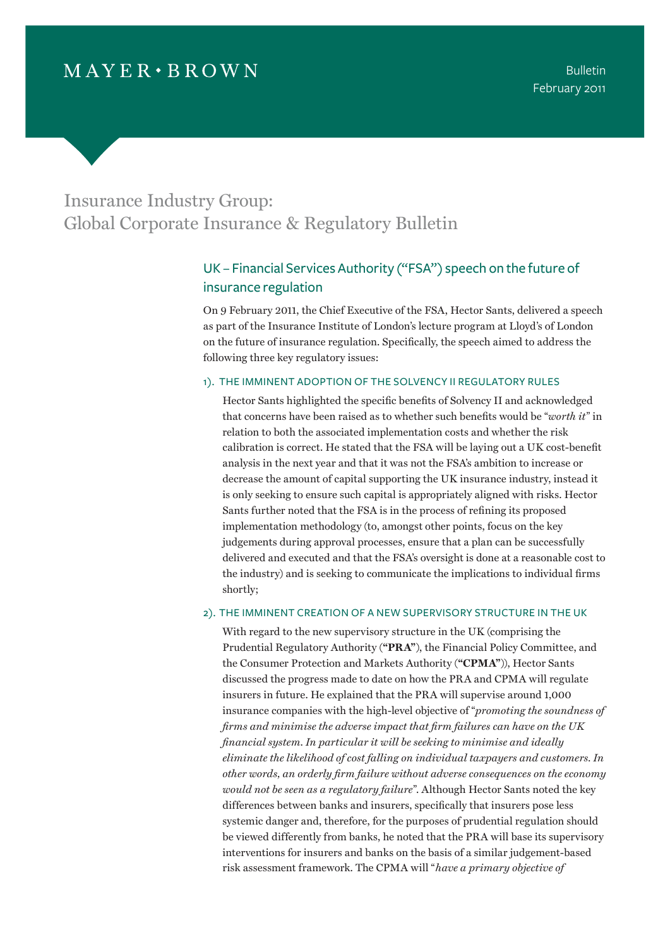# Insurance Industry Group: Global Corporate Insurance & Regulatory Bulletin

## UK – Financial Services Authority ("FSA") speech on the future of insurance regulation

On 9 February 2011, the Chief Executive of the FSA, Hector Sants, delivered a speech as part of the Insurance Institute of London's lecture program at Lloyd's of London on the future of insurance regulation. Specifically, the speech aimed to address the following three key regulatory issues:

#### 1). the imminent adoption of the Solvency II regulatory rules

Hector Sants highlighted the specific benefits of Solvency II and acknowledged that concerns have been raised as to whether such benefits would be "*worth it*" in relation to both the associated implementation costs and whether the risk calibration is correct. He stated that the FSA will be laying out a UK cost-benefit analysis in the next year and that it was not the FSA's ambition to increase or decrease the amount of capital supporting the UK insurance industry, instead it is only seeking to ensure such capital is appropriately aligned with risks. Hector Sants further noted that the FSA is in the process of refining its proposed implementation methodology (to, amongst other points, focus on the key judgements during approval processes, ensure that a plan can be successfully delivered and executed and that the FSA's oversight is done at a reasonable cost to the industry) and is seeking to communicate the implications to individual firms shortly;

### 2). the imminent creation of a new supervisory structure in the UK

With regard to the new supervisory structure in the UK (comprising the Prudential Regulatory Authority (**"PRA"**), the Financial Policy Committee, and the Consumer Protection and Markets Authority (**"CPMA"**)), Hector Sants discussed the progress made to date on how the PRA and CPMA will regulate insurers in future. He explained that the PRA will supervise around 1,000 insurance companies with the high-level objective of "*promoting the soundness of firms and minimise the adverse impact that firm failures can have on the UK financial system. In particular it will be seeking to minimise and ideally eliminate the likelihood of cost falling on individual taxpayers and customers. In other words, an orderly firm failure without adverse consequences on the economy would not be seen as a regulatory failure*". Although Hector Sants noted the key differences between banks and insurers, specifically that insurers pose less systemic danger and, therefore, for the purposes of prudential regulation should be viewed differently from banks, he noted that the PRA will base its supervisory interventions for insurers and banks on the basis of a similar judgement-based risk assessment framework. The CPMA will "*have a primary objective of*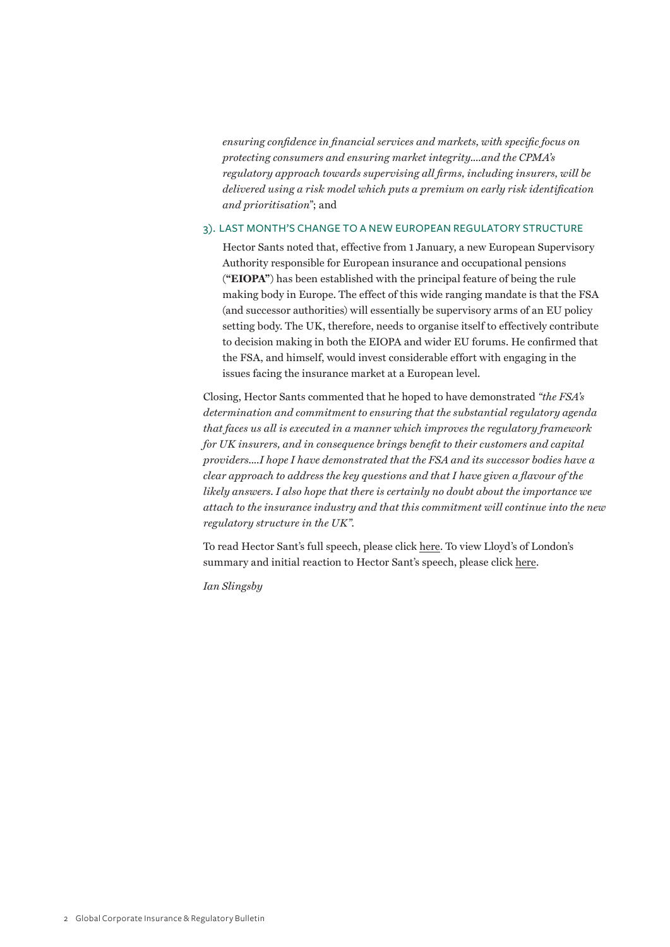*ensuring confidence in financial services and markets, with specific focus on protecting consumers and ensuring market integrity....and the CPMA's regulatory approach towards supervising all firms, including insurers, will be delivered using a risk model which puts a premium on early risk identification and prioritisation*"; and

#### 3). last month's change to a new European regulatory structure

Hector Sants noted that, effective from 1 January, a new European Supervisory Authority responsible for European insurance and occupational pensions (**"EIOPA"**) has been established with the principal feature of being the rule making body in Europe. The effect of this wide ranging mandate is that the FSA (and successor authorities) will essentially be supervisory arms of an EU policy setting body. The UK, therefore, needs to organise itself to effectively contribute to decision making in both the EIOPA and wider EU forums. He confirmed that the FSA, and himself, would invest considerable effort with engaging in the issues facing the insurance market at a European level.

Closing, Hector Sants commented that he hoped to have demonstrated *"the FSA's determination and commitment to ensuring that the substantial regulatory agenda that faces us all is executed in a manner which improves the regulatory framework for UK insurers, and in consequence brings benefit to their customers and capital providers....I hope I have demonstrated that the FSA and its successor bodies have a clear approach to address the key questions and that I have given a flavour of the likely answers. I also hope that there is certainly no doubt about the importance we attach to the insurance industry and that this commitment will continue into the new regulatory structure in the UK".*

To read Hector Sant's full speech, please click here. To view Lloyd's of London's summary and initial reaction to Hector Sant's speech, please click here.

*Ian Slingsby*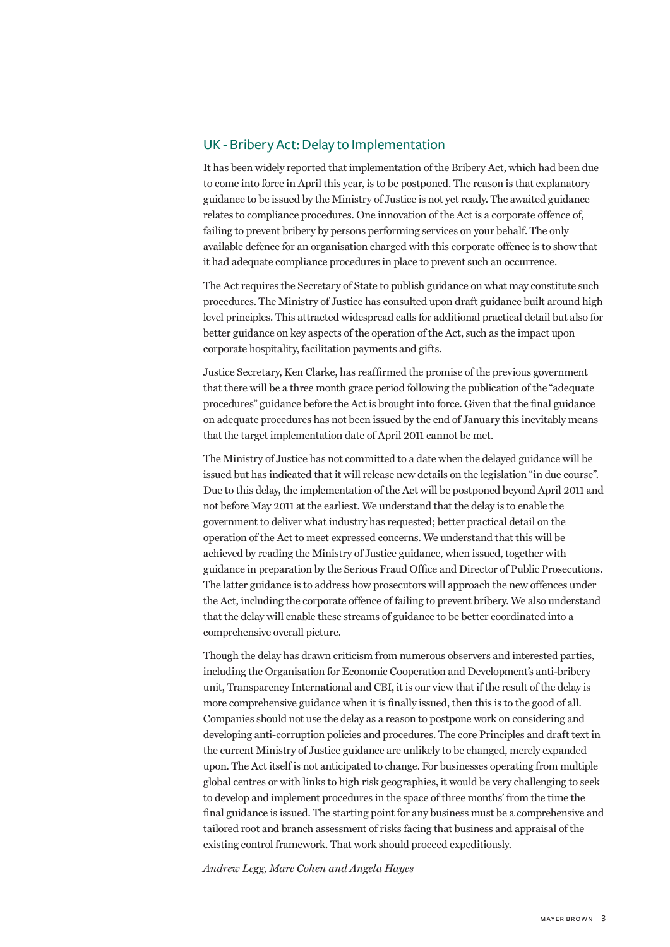### UK - Bribery Act: Delay to Implementation

It has been widely reported that implementation of the Bribery Act, which had been due to come into force in April this year, is to be postponed. The reason is that explanatory guidance to be issued by the Ministry of Justice is not yet ready. The awaited guidance relates to compliance procedures. One innovation of the Act is a corporate offence of, failing to prevent bribery by persons performing services on your behalf. The only available defence for an organisation charged with this corporate offence is to show that it had adequate compliance procedures in place to prevent such an occurrence.

The Act requires the Secretary of State to publish guidance on what may constitute such procedures. The Ministry of Justice has consulted upon draft guidance built around high level principles. This attracted widespread calls for additional practical detail but also for better guidance on key aspects of the operation of the Act, such as the impact upon corporate hospitality, facilitation payments and gifts.

Justice Secretary, Ken Clarke, has reaffirmed the promise of the previous government that there will be a three month grace period following the publication of the "adequate procedures" guidance before the Act is brought into force. Given that the final guidance on adequate procedures has not been issued by the end of January this inevitably means that the target implementation date of April 2011 cannot be met.

The Ministry of Justice has not committed to a date when the delayed guidance will be issued but has indicated that it will release new details on the legislation "in due course". Due to this delay, the implementation of the Act will be postponed beyond April 2011 and not before May 2011 at the earliest. We understand that the delay is to enable the government to deliver what industry has requested; better practical detail on the operation of the Act to meet expressed concerns. We understand that this will be achieved by reading the Ministry of Justice guidance, when issued, together with guidance in preparation by the Serious Fraud Office and Director of Public Prosecutions. The latter guidance is to address how prosecutors will approach the new offences under the Act, including the corporate offence of failing to prevent bribery. We also understand that the delay will enable these streams of guidance to be better coordinated into a comprehensive overall picture.

Though the delay has drawn criticism from numerous observers and interested parties, including the Organisation for Economic Cooperation and Development's anti-bribery unit, Transparency International and CBI, it is our view that if the result of the delay is more comprehensive guidance when it is finally issued, then this is to the good of all. Companies should not use the delay as a reason to postpone work on considering and developing anti-corruption policies and procedures. The core Principles and draft text in the current Ministry of Justice guidance are unlikely to be changed, merely expanded upon. The Act itself is not anticipated to change. For businesses operating from multiple global centres or with links to high risk geographies, it would be very challenging to seek to develop and implement procedures in the space of three months' from the time the final guidance is issued. The starting point for any business must be a comprehensive and tailored root and branch assessment of risks facing that business and appraisal of the existing control framework. That work should proceed expeditiously.

*Andrew Legg, Marc Cohen and Angela Hayes*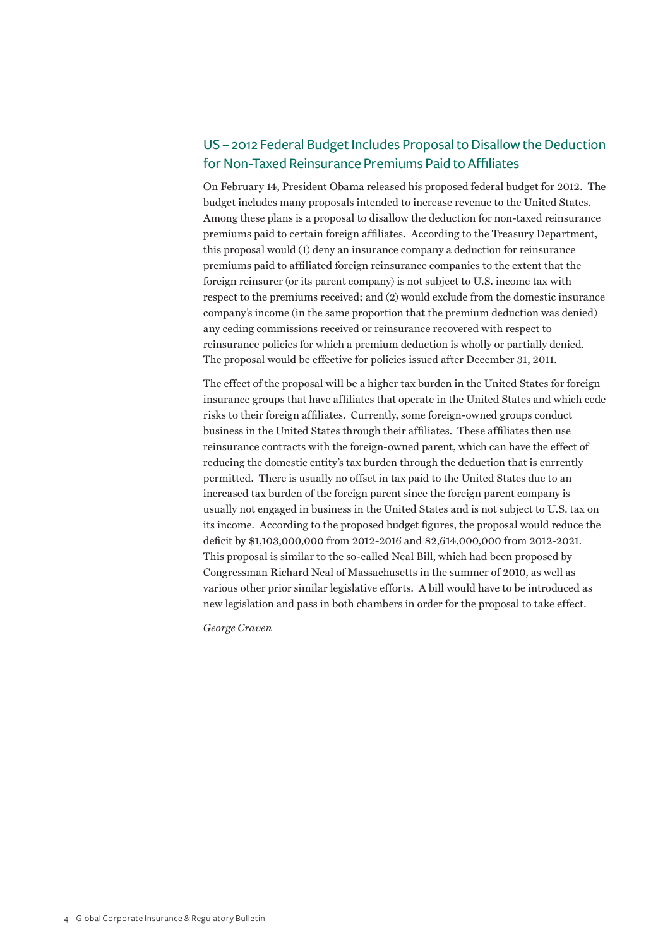## US – 2012 Federal Budget Includes Proposal to Disallow the Deduction for Non-Taxed Reinsurance Premiums Paid to Affiliates

On February 14, President Obama released his proposed federal budget for 2012. The budget includes many proposals intended to increase revenue to the United States. Among these plans is a proposal to disallow the deduction for non-taxed reinsurance premiums paid to certain foreign affiliates. According to the Treasury Department, this proposal would (1) deny an insurance company a deduction for reinsurance premiums paid to affiliated foreign reinsurance companies to the extent that the foreign reinsurer (or its parent company) is not subject to U.S. income tax with respect to the premiums received; and (2) would exclude from the domestic insurance company's income (in the same proportion that the premium deduction was denied) any ceding commissions received or reinsurance recovered with respect to reinsurance policies for which a premium deduction is wholly or partially denied. The proposal would be effective for policies issued after December 31, 2011.

The effect of the proposal will be a higher tax burden in the United States for foreign insurance groups that have affiliates that operate in the United States and which cede risks to their foreign affiliates. Currently, some foreign-owned groups conduct business in the United States through their affiliates. These affiliates then use reinsurance contracts with the foreign-owned parent, which can have the effect of reducing the domestic entity's tax burden through the deduction that is currently permitted. There is usually no offset in tax paid to the United States due to an increased tax burden of the foreign parent since the foreign parent company is usually not engaged in business in the United States and is not subject to U.S. tax on its income. According to the proposed budget figures, the proposal would reduce the deficit by \$1,103,000,000 from 2012-2016 and \$2,614,000,000 from 2012-2021. This proposal is similar to the so-called Neal Bill, which had been proposed by Congressman Richard Neal of Massachusetts in the summer of 2010, as well as various other prior similar legislative efforts. A bill would have to be introduced as new legislation and pass in both chambers in order for the proposal to take effect.

*George Craven*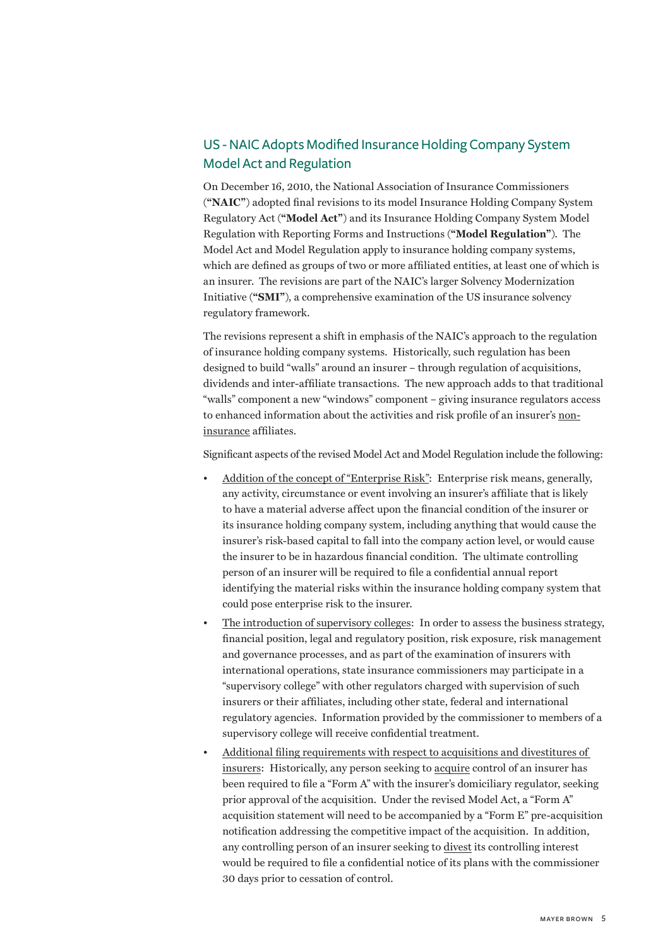## US - NAIC Adopts Modified Insurance Holding Company System Model Act and Regulation

On December 16, 2010, the National Association of Insurance Commissioners (**"NAIC"**) adopted final revisions to its model Insurance Holding Company System Regulatory Act (**"Model Act"**) and its Insurance Holding Company System Model Regulation with Reporting Forms and Instructions (**"Model Regulation"**). The Model Act and Model Regulation apply to insurance holding company systems, which are defined as groups of two or more affiliated entities, at least one of which is an insurer. The revisions are part of the NAIC's larger Solvency Modernization Initiative (**"SMI"**), a comprehensive examination of the US insurance solvency regulatory framework.

The revisions represent a shift in emphasis of the NAIC's approach to the regulation of insurance holding company systems. Historically, such regulation has been designed to build "walls" around an insurer – through regulation of acquisitions, dividends and inter-affiliate transactions. The new approach adds to that traditional "walls" component a new "windows" component – giving insurance regulators access to enhanced information about the activities and risk profile of an insurer's noninsurance affiliates.

Significant aspects of the revised Model Act and Model Regulation include the following:

- Addition of the concept of "Enterprise Risk": Enterprise risk means, generally, any activity, circumstance or event involving an insurer's affiliate that is likely to have a material adverse affect upon the financial condition of the insurer or its insurance holding company system, including anything that would cause the insurer's risk-based capital to fall into the company action level, or would cause the insurer to be in hazardous financial condition. The ultimate controlling person of an insurer will be required to file a confidential annual report identifying the material risks within the insurance holding company system that could pose enterprise risk to the insurer.
- The introduction of supervisory colleges: In order to assess the business strategy, financial position, legal and regulatory position, risk exposure, risk management and governance processes, and as part of the examination of insurers with international operations, state insurance commissioners may participate in a "supervisory college" with other regulators charged with supervision of such insurers or their affiliates, including other state, federal and international regulatory agencies. Information provided by the commissioner to members of a supervisory college will receive confidential treatment.
- Additional filing requirements with respect to acquisitions and divestitures of insurers: Historically, any person seeking to acquire control of an insurer has been required to file a "Form A" with the insurer's domiciliary regulator, seeking prior approval of the acquisition. Under the revised Model Act, a "Form A" acquisition statement will need to be accompanied by a "Form E" pre-acquisition notification addressing the competitive impact of the acquisition. In addition, any controlling person of an insurer seeking to divest its controlling interest would be required to file a confidential notice of its plans with the commissioner 30 days prior to cessation of control.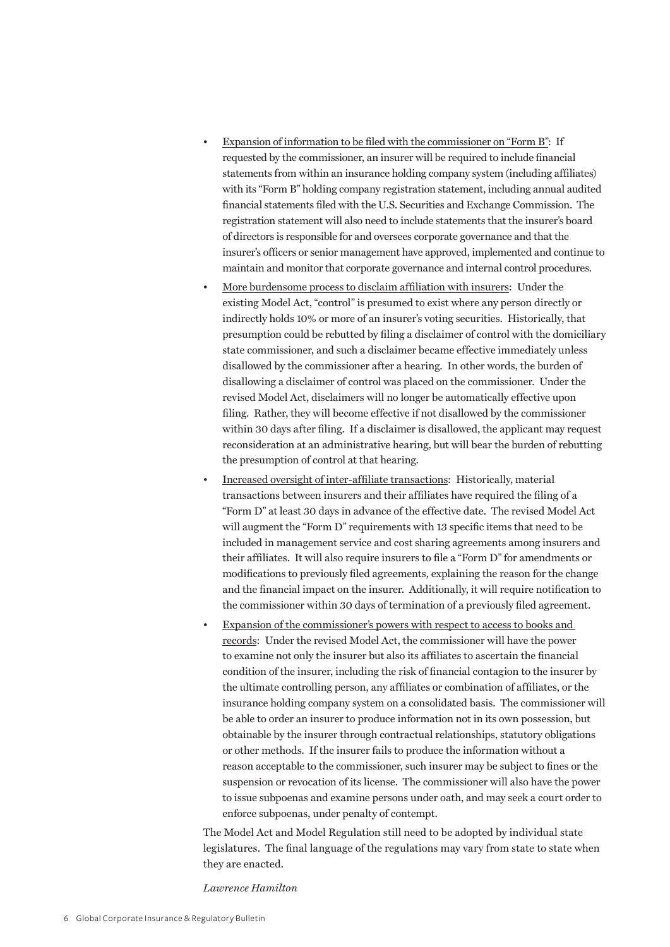- Expansion of information to be filed with the commissioner on "Form B": If requested by the commissioner, an insurer will be required to include financial statements from within an insurance holding company system (including affiliates) with its "Form B" holding company registration statement, including annual audited financial statements filed with the U.S. Securities and Exchange Commission. The registration statement will also need to include statements that the insurer's board of directors is responsible for and oversees corporate governance and that the insurer's officers or senior management have approved, implemented and continue to maintain and monitor that corporate governance and internal control procedures.
- More burdensome process to disclaim affiliation with insurers: Under the existing Model Act, "control" is presumed to exist where any person directly or indirectly holds 10% or more of an insurer's voting securities. Historically, that presumption could be rebutted by filing a disclaimer of control with the domiciliary state commissioner, and such a disclaimer became effective immediately unless disallowed by the commissioner after a hearing. In other words, the burden of disallowing a disclaimer of control was placed on the commissioner. Under the revised Model Act, disclaimers will no longer be automatically effective upon filing. Rather, they will become effective if not disallowed by the commissioner within 30 days after filing. If a disclaimer is disallowed, the applicant may request reconsideration at an administrative hearing, but will bear the burden of rebutting the presumption of control at that hearing.
- Increased oversight of inter-affiliate transactions: Historically, material transactions between insurers and their affiliates have required the filing of a "Form D" at least 30 days in advance of the effective date. The revised Model Act will augment the "Form D" requirements with 13 specific items that need to be included in management service and cost sharing agreements among insurers and their affiliates. It will also require insurers to file a "Form D" for amendments or modifications to previously filed agreements, explaining the reason for the change and the financial impact on the insurer. Additionally, it will require notification to the commissioner within 30 days of termination of a previously filed agreement.
- Expansion of the commissioner's powers with respect to access to books and records: Under the revised Model Act, the commissioner will have the power to examine not only the insurer but also its affiliates to ascertain the financial condition of the insurer, including the risk of financial contagion to the insurer by the ultimate controlling person, any affiliates or combination of affiliates, or the insurance holding company system on a consolidated basis. The commissioner will be able to order an insurer to produce information not in its own possession, but obtainable by the insurer through contractual relationships, statutory obligations or other methods. If the insurer fails to produce the information without a reason acceptable to the commissioner, such insurer may be subject to fines or the suspension or revocation of its license. The commissioner will also have the power to issue subpoenas and examine persons under oath, and may seek a court order to enforce subpoenas, under penalty of contempt.

The Model Act and Model Regulation still need to be adopted by individual state legislatures. The final language of the regulations may vary from state to state when they are enacted.

*Lawrence Hamilton*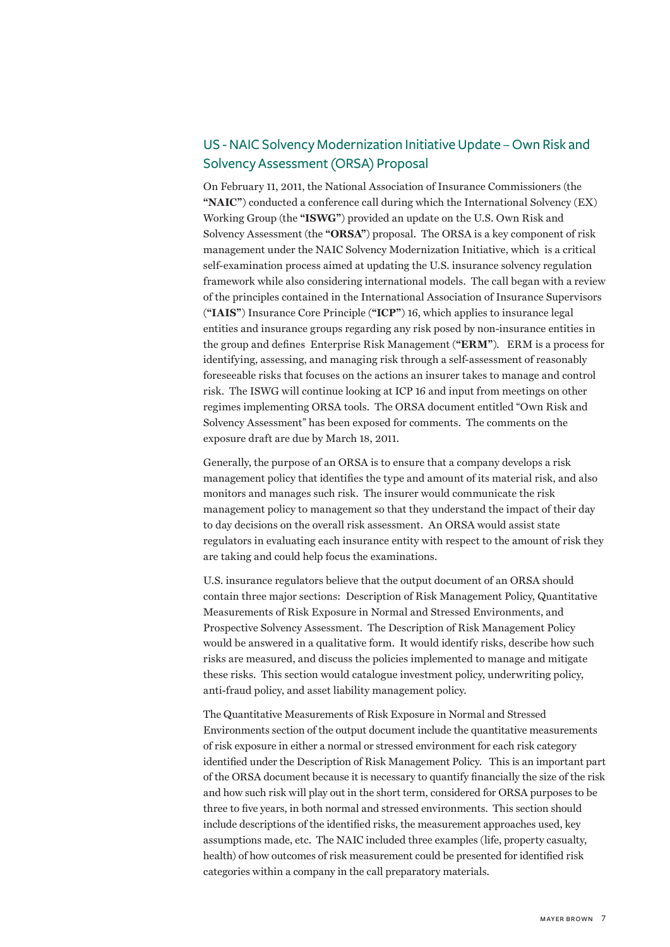## US - NAIC Solvency Modernization Initiative Update – Own Risk and Solvency Assessment (ORSA) Proposal

On February 11, 2011, the National Association of Insurance Commissioners (the **"NAIC"**) conducted a conference call during which the International Solvency (EX) Working Group (the **"ISWG"**) provided an update on the U.S. Own Risk and Solvency Assessment (the **"ORSA"**) proposal. The ORSA is a key component of risk management under the NAIC Solvency Modernization Initiative, which is a critical self-examination process aimed at updating the U.S. insurance solvency regulation framework while also considering international models. The call began with a review of the principles contained in the International Association of Insurance Supervisors (**"IAIS"**) Insurance Core Principle (**"ICP"**) 16, which applies to insurance legal entities and insurance groups regarding any risk posed by non-insurance entities in the group and defines Enterprise Risk Management (**"ERM"**). ERM is a process for identifying, assessing, and managing risk through a self-assessment of reasonably foreseeable risks that focuses on the actions an insurer takes to manage and control risk. The ISWG will continue looking at ICP 16 and input from meetings on other regimes implementing ORSA tools. The ORSA document entitled "Own Risk and Solvency Assessment" has been exposed for comments. The comments on the exposure draft are due by March 18, 2011.

Generally, the purpose of an ORSA is to ensure that a company develops a risk management policy that identifies the type and amount of its material risk, and also monitors and manages such risk. The insurer would communicate the risk management policy to management so that they understand the impact of their day to day decisions on the overall risk assessment. An ORSA would assist state regulators in evaluating each insurance entity with respect to the amount of risk they are taking and could help focus the examinations.

U.S. insurance regulators believe that the output document of an ORSA should contain three major sections: Description of Risk Management Policy, Quantitative Measurements of Risk Exposure in Normal and Stressed Environments, and Prospective Solvency Assessment. The Description of Risk Management Policy would be answered in a qualitative form. It would identify risks, describe how such risks are measured, and discuss the policies implemented to manage and mitigate these risks. This section would catalogue investment policy, underwriting policy, anti-fraud policy, and asset liability management policy.

The Quantitative Measurements of Risk Exposure in Normal and Stressed Environments section of the output document include the quantitative measurements of risk exposure in either a normal or stressed environment for each risk category identified under the Description of Risk Management Policy. This is an important part of the ORSA document because it is necessary to quantify financially the size of the risk and how such risk will play out in the short term, considered for ORSA purposes to be three to five years, in both normal and stressed environments. This section should include descriptions of the identified risks, the measurement approaches used, key assumptions made, etc. The NAIC included three examples (life, property casualty, health) of how outcomes of risk measurement could be presented for identified risk categories within a company in the call preparatory materials.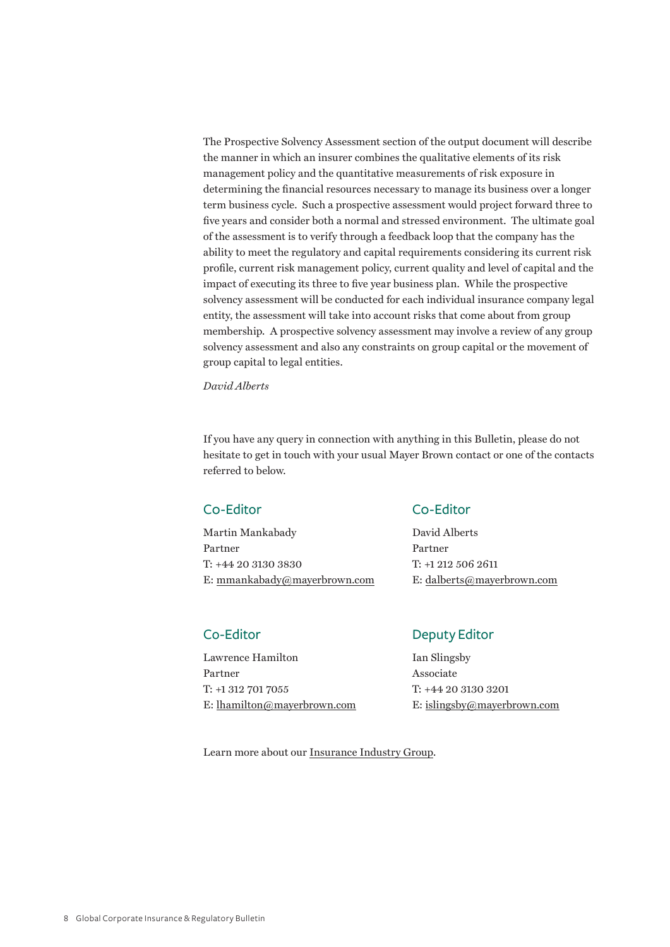The Prospective Solvency Assessment section of the output document will describe the manner in which an insurer combines the qualitative elements of its risk management policy and the quantitative measurements of risk exposure in determining the financial resources necessary to manage its business over a longer term business cycle. Such a prospective assessment would project forward three to five years and consider both a normal and stressed environment. The ultimate goal of the assessment is to verify through a feedback loop that the company has the ability to meet the regulatory and capital requirements considering its current risk profile, current risk management policy, current quality and level of capital and the impact of executing its three to five year business plan. While the prospective solvency assessment will be conducted for each individual insurance company legal entity, the assessment will take into account risks that come about from group membership. A prospective solvency assessment may involve a review of any group solvency assessment and also any constraints on group capital or the movement of group capital to legal entities.

*David Alberts*

If you have any query in connection with anything in this Bulletin, please do not hesitate to get in touch with your usual Mayer Brown contact or one of the contacts referred to below.

Martin Mankabady David Alberts Partner Partner T: +44 20 3130 3830 T: +1 212 506 2611 E: mmankabady@mayerbrown.com E: dalberts@mayerbrown.com

Lawrence Hamilton Ian Slingsby Partner Associate T: +1 312 701 7055 T: +44 20 3130 3201 E: lhamilton@mayerbrown.com E: islingsby@mayerbrown.com

### C0-Editor C0-Editor

## Co-Editor Deputy Editor

Learn more about our Insurance Industry Group.